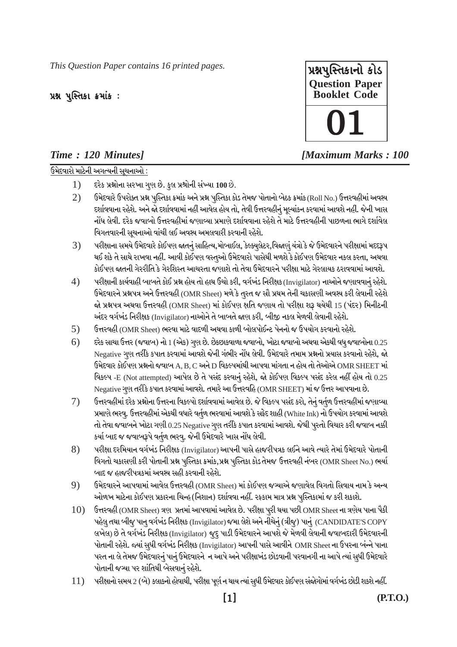This Question Paper contains 16 printed pages.

## પ્રશ્ન પુસ્તિકા ક્રમાંક:

## Time: 120 Minutes]

ઉમેદવારો માટેની અગત્યની સચનાઓ :



## **IMaximum Marks: 100**

- દરેક પ્રશ્નોના સરખા ગુણ છે. કુલ પ્રશ્રોની સંખ્યા 100 છે.  $1)$
- $2)$ ઉમેદવારે ઉપરોક્ત પ્રશ્ન પુસ્તિકા ક્રમાંક અને પ્રશ્ન પુસ્તિકા કોડ તેમજ પોતાનો બેઠક ક્રમાંક (Roll No.) ઉત્તરવહીમાં અવશ્ય દર્શાવવાના રહેશે. અને જો દર્શાવવામાં નહી આવેલ હોય તો, તેવી ઉત્તરવહીનું મૂલ્યાંકન કરવામાં આવશે નહીં. જેની ખાસ નોંધ લેવી. દરેક જવાબો ઉત્તરવહીમાં જણાવ્યા પ્રમાણે દર્શાવવાના રહેશે તે માટે ઉત્તરવહીની પાછળના ભાગે દર્શાવેલ વિગતવારની સચનાઓ વાંચી લઈ અવશ્ય અમલવારી કરવાની રહેશે.
- $3)$ પરીક્ષાના સમયે ઉમેદવારે કોઈપણ જાતનું સાહિત્ય,મોબાઈલ, કેલ્ક્યુલેટર,વિજાણું યંત્રો કે જે ઉમેદવારને પરીક્ષામાં મદદરૂપ થઈ શકે તે સાથે રાખવા નહીં. આવી કોઈપણ વસ્તુઓ ઉમેદવારો પાસેથી મળશે કે કોઈપણ ઉમેદવાર નકલ કરતા, અથવા કોઈપણ જાતની ગેરરીતિ કે ગેરશિસ્ત આચરતા જણાશે તો તેવા ઉમેદવારને પરીક્ષા માટે ગેરલાયક ઠરાવવામાં આવશે.
- $4)$ પરીક્ષાની કાર્યવાહી બાબતે કોઈ પ્રશ્ન હોય તો હાથ ઉચો કરી, વર્ગખંડ નિરીક્ષક (Invigilator) નાઓને જણાવવાનું રહેશે. ઉમેદવારને પ્રશ્નપત્ર અને ઉત્તરવહી (OMR Sheet) મળે કે તુરત જ સૌ પ્રથમ તેની ચકાસણી અવશ્ય કરી લેવાની રહેશે જો પ્રશ્નપત્ર અથવા ઉત્તરવહી (OMR Sheet) માં કોઈપણ ક્ષતિ જણાય તો પરીક્ષા શરૂ થયેથી 15 (પંદર) મિનીટની અંદર વર્ગખંડ નિરીક્ષક (Invigilator) નાઓને તે બાબતે જણ કરી, બીજી નકલ મેળવી લેવાની રહેશે.
- ઉત્તરવહી (OMR Sheet) ભરવા માટે વાદળી અથવા કાળી બોલપોઈન્ટ પેનનો જ ઉપયોગ કરવાનો રહેશે.  $5)$
- દરેક સાચા ઉત્તર (જવાબ) નો 1 (એક) ગણ છે. છેકછાકવાળા જવાબો, ખોટા જવાબો અથવા એકથી વધ જવાબોના 0.25  $(6)$ Negative ગુણ તરીકે કપાત કરવામાં આવશે જેની ગંભીર નોંધ લેવી. ઉમેદવારે તમામ પ્રશ્નનો પ્રયાસ કરવાનો રહેશે, જો ઉમેદવાર કોઈપણ પ્રશ્નનો જવાબ A, B, C અને D વિકલ્પમાંથી આપવા માંગતા ન હોય તો તેઓએ OMR SHEET માં વિકલ્પ -E (Not attempted) આપેલ છે તે પસંદ કરવાનું રહેશે, જો કોઈપણ વિકલ્પ પસંદ કરેલ નહીં હોય તો 0.25 Negative ગુણ તરીકે કપાત કરવામાં આવશે. તમારે આ ઉત્તરવહિ (OMR SHEET) માં જ ઉત્તર આપવાના છે.
- $7)$ ઉત્તરવહીમાં દરેક પ્રશ્નોના ઉત્તરના વિકલ્પો દર્શાવવામાં આવેલ છે. જે વિકલ્પ પસંદ કરો, તેનું વર્તુળ ઉત્તરવહીમાં જણાવ્યા પ્રમાણે ભરવુ. ઉત્તરવહીમાં એકથી વધારે વર્તુળ ભરવામાં આવશે કે સફેદ શાહી (White Ink) નો ઉપયોગ કરવામાં આવશે તો તેવા જવાબને ખોટા ગણી 0.25 Negative ગૃણ તરીકે કપાત કરવામાં આવશે. જેથી પૂરતો વિચાર કરી જવાબ નક્કી કર્યા બાદ જ જવાબરૂપે વર્તુળ ભરવુ. જેની ઉમેદવારે ખાસ નોંધ લેવી.
- 8) પરીક્ષા દરમિયાન વર્ગખંડ નિરીક્ષક (Invigilator) આપની પાસે હાજરીપત્રક લઈને આવે ત્યારે તેમાં ઉમેદવારે પોતાની વિગતો ચકાસણી કરી પોતાની પ્રશ્ન પુસ્તિકા ક્રમાંક,પ્રશ્ન પુસ્તિકા કોડ તેમજ ઉત્તરવહી નંબર (OMR Sheet No.) ભર્યા બાદ જ હાજરીપત્રકમાં અવસ્ય સહી કરવાની રહેશે.
- 9) ઉમેદવારને આપવામાં આવેલ ઉત્તરવહી (OMR Sheet) માં કોઈપણ જગ્યાએ જણાવેલ વિગતો સિવાય નામ કે અન્ય ઓળખ માટેના કોઈપણ પ્રકારના ચિન્હ(નિશાન) દર્શાવવા નહીં. રફ્કામ માત્ર પ્રશ્ન પુસ્તિકામાં જ કરી શકાશે.
- ઉત્તરવહી (OMR Sheet) ત્રણ પ્રતમાં આપવામાં આવેલ છે. પરીક્ષા પુરી થયા પછી OMR Sheet ના ત્રણેય પાના પૈકી 10) પહેલુ તથા બીજુ પાનુ વર્ગખંડ નિરીક્ષક (Invigilator) જમા લેશે અને નીચેનું (ત્રીજુ) પાનું (CANDIDATE'S COPY લખેલ) છે તે વર્ગખંડ નિરીક્ષક (Invigilator) જૂદુ પાડી ઉમેદવારને આપશે જે મેળવી લેવાની જવાબદારી ઉમેદવારની પોતાની રહેશે. જ્યાં સુધી વર્ગખંડ નિરીક્ષક (Invigilator) આપની પાસે આવીને OMR Sheet ના ઉપરના બંન્ને પાના પરત ના લે તેમજ ઉમેદવારનું પાનું ઉમેદવારને ન આપે અને પરીક્ષાખંડ છોડવાની પરવાનગી ના આપે ત્યાં સુધી ઉમેદવારે પોતાની જગ્યા પર શાંતિથી બેસવાનું રહેશે.
- 11) પરીક્ષાનો સમય 2 (બે) કલાકનો હોવાથી, પરીક્ષા પૂર્ણ ન થાય ત્યાં સુધી ઉમેદવાર કોઈપણ સંજોગોમાં વર્ગખંડ છોડી શકશે નહીં.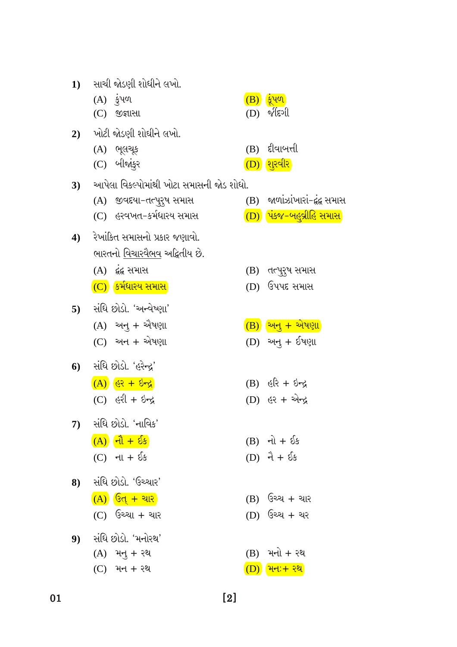| ભારતનો <u>વિચારવૈભવ</u> અદ્વિતીય છે.    |                               |
|-----------------------------------------|-------------------------------|
| (A) દ્રંદ્ર સમાસ                        | (B) તત્પુરૂષ સમાર             |
| (C) કર્મધારય સમાસ                       | (D) ઉપપદ સમાસ                 |
| 5) સંધિ છોડો. 'અન્વેષ્ણા'               |                               |
| (A) અનુ + ઐષણા                          | <u>(B) અનુ + એષણ</u>          |
| $(C)$ અન + એષણા                         | (D) અનુ + ઈષણ                 |
| 6) સંધિ છોડો. 'હરેન્દ્ર'                |                               |
| $(A)$ $(8)$ $(4)$                       | $(B)$ $\&$ $\&$ + $\&$ + $\&$ |
| $(C)$ $\xi 2l + \xi - \xi$              | (D) <i>हर + એ</i> ન્દ્ર       |
| 7) સંધિ છોડો. 'નાવિક'                   |                               |
| $(A)$ $\mathbf{d}$ + $\mathbf{\hat{b}}$ | $(B)$ નો + ઈક                 |
| $(C)$ ના + ઈક                           | $(D)$ $\hat{d} + \delta$ s    |
| 8) સંધિ છોડો. 'ઉચ્ચાર'                  |                               |
| $\overline{(A)}$ ઉત્ + ચાર              | (B) ઉચ્ચ + ચાર                |
| $(C)$ ઉચ્ચા + ચાર                       | (D) ઉચ્ચ + ચર                 |
| 9) સંધિ છોડો. 'મનોરથ'                   |                               |
| $(A)$ મનુ + રથ                          | (B) મનો + રથ                  |
| $(C)$ મન + રથ                           | (D) મન:+ રથ                   |
|                                         |                               |

- <mark>અનુ + એષણા</mark> અનુ + ઈષણા કરિ + ઇન્દ્ર .<br>ડર + એન્દ્ર
- <sup>કેપપદ</sup> સમાસ
- icપુર<mark>્પ</mark> સમાસ

(B) જાળાંઝાંખારાં-દુંદ્વ સમાસ

(D) પંકજ-બહુવ્રીહિ સમાસ

 $(C)$  હરવખત-કર્મધારય સમાસ

4) રેખાંકિત સમાસનો પ્રકાર જણાવો.

- (A) જીવદયા-તત્પુરુષ સમાસ
- 
- 3) આપેલા વિકલ્પોમાંથી ખોટા સમાસની જોડ શોધો.
- (C) બીજાંકુર
- $(A)$  ભૂલચૂક
- $2)$  will assell silelled and.
- $(C)$  જીજ્ઞાસા
- $(A)$   $\dot{\xi}$ un
- 1) સાચી જોડણી શોધીને લખો.
- (B) दूंपण
- $(D)$   $\sqrt[n]{\epsilon}$

(B) દીવાબત્તી

(D) शूरवीर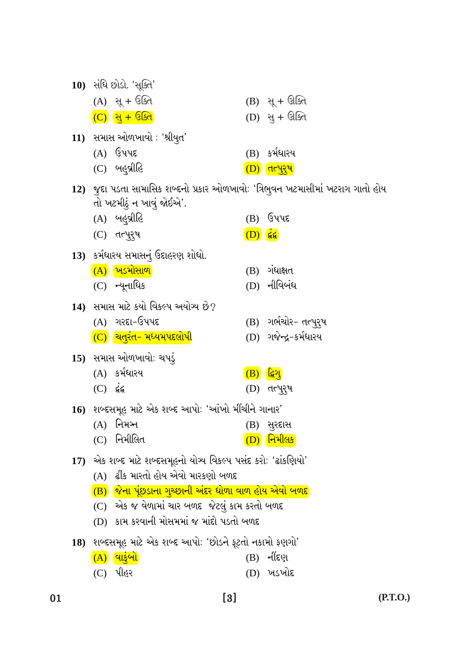|  | ×<br>۰, |  |
|--|---------|--|

| $(C)$ $66$ | 15) સમાસ ઓળખાવો: ચપડું<br>(A) કર્મધારય                                                                                                                                                                                                                 | (B) | ्ट्रिंग<br>(D) તત્પુર્ <b>ષ</b> |
|------------|--------------------------------------------------------------------------------------------------------------------------------------------------------------------------------------------------------------------------------------------------------|-----|---------------------------------|
|            | 16)  શબ્દસમૂહ માટે એક શબ્દ આપોઃ 'આંખો મીંચીને ગાનાર'<br>$(A)$ નિમઞ્ન<br>(C) નિમીલિત                                                                                                                                                                    |     | (B) સુરદાસ<br>(D) નિમીલક        |
|            | 17) એક શબ્દ માટે શબ્દસમૂહનો યોગ્ય વિકલ્પ પસંદ કરો: 'ઢાંકણિયો'<br>(A)  ઢીંક મારતો હોય એવો મારકણો બળદ<br>(B) જિના પૂંછડાના ગૃચ્છાની અંદર ધોળા વાળ હોય એવો બળદ<br>(C) એક જ વેળામાં ચાર બળદ જેટલું કામ કરતો બળદ<br>(D) કામ કરવાની મોસમમાં જ માંદો પડતો બળદ |     |                                 |
|            | 18) શબ્દસમૂહ માટે એક શબ્દ આપો: 'છોડને ફૂટતો નકામો ફણગો'<br>$\overline{(A)}$ વાકુંબો<br>(C) પીહર                                                                                                                                                        |     | (B) નીંદણ<br>(D) ખડખોદ          |

14) સમાસ માટે કયો વિકલ્પ અયોગ્ય છે?

(C) ચિતુરંત- મધ્યમપદલોપી

 $(A)$  ગરદા-ઉપપદ

- $(C)$  ન્યૂનાધિક (D) નીવિબંધ
- 13) કર્મધારય સમાસનું ઉદાહરણ શોધો. (A) ખડમોસાળ  $(B)$  ગંધાક્ષત
- $(D)$   $\acute{g}$  $(C)$  तत्पुरुष
- તો ખટમીઠું ન ખાવું જોઈએ'. (A) બહુવ્રીહિ  $(B)$  ઉપપદ
- 12) જુદા પડતા સામાસિક શબ્દનો પ્રકાર ઓળખાવો: 'ત્રિભુવન ખટમાસીમાં ખટરાગ ગાતો હોય
- 11) સમાસ ઓળખાવો: 'શ્રીયુત'  $(A)$  ઉપપદ (B) કર્મધારય (C) બહુવ્રીહિ  $(D)$  dryzy
- $(A)$  સૂ + ઉક્તિ  $(B)$  સૂ + ઊક્તિ (C) सु + उद्घित (D) સુ + ઊક્તિ
- 
- 10) સંધિ છોડો. 'સૂક્તિ'
- (B) ગર્ભચોર- તત્પુરુષ (D) ગજેન્દ્ર-કર્મધારય
- 
- 
- 

01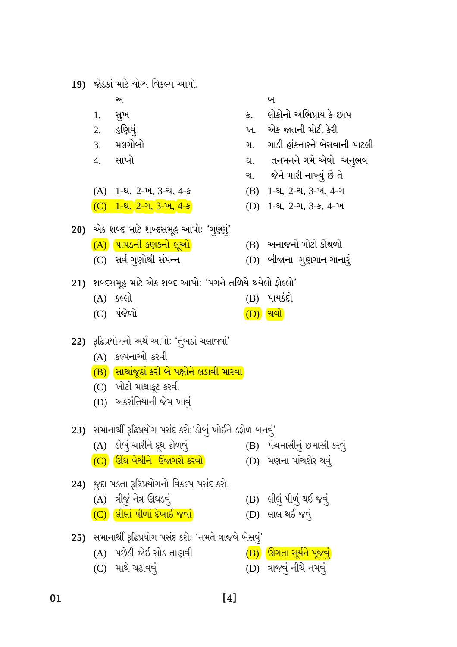- $[4]$
- 25) સમાનાર્થી રૂઢિપ્રયોગ પસંદ કરો: 'નમતે ત્રાજવે બેસવું'
- -
	- (A) પછેડી જોઈ સોડ તાણવી
	-
	- $(C)$  માથે ચઢાવવું

01

- 
- (D) લાલ થઈ જવું
- 
- $(C)$  લીલાં પીળાં દેખાઈ જવાં
- 24) જુદા પડતા રૂઢિપ્રયોગનો વિકલ્પ પસંદ કરો. (B) લીલું પીળું થઈ જવું  $(A)$  ત્રીજું નેત્ર ઊઘડવું
- 
- (A) ડોબું ચારીને દૂધ ઢોળવું (D) મણના પાંચશેર થવું
- 

 $(B)$  ઊગતા સૂર્યને પૂજવું

(D) ત્રાજવું નીચે નમવું

- (B) પંચમાસીનું છમાસી કરવું
- 23) સમાનાર્થી રૂઢિપ્રયોગ પસંદ કરો: 'ડોબું ખોઈને ડફોળ બનવું'
- (B) સાચાંજૂઠાં કરી બે પક્ષોને લડાવી મારવા  $(C)$  ખોટી માથાકૂટ કરવી
- (A) કલ્પનાઓ કરવી

(D) અકરાંતિયાની જેમ ખાવું

- 
- 22) રૂઢિપ્રયોગનો અર્થ આપો: 'તુંબડાં ચલાવવાં'
- $(A)$  કલ્લો  $(B)$  પાયકંદો  $(C)$  પંજેળો  $(D)$  ચવો
- 21) શબ્દસમૂહ માટે એક શબ્દ આપો: 'પગને તળિયે થયેલો ફોલ્લો'
- (A) પાપડની કણકનો લૂઓ (B) અનાજનો મોટો કોથળો (C) સર્વ ગુણોથી સંપન્ન (D) બીજાના ગુણગાન ગાનારું
- 20) એક શબ્દ માટે શબ્દસમૂહ આપો: 'ગુણુગું'
- $(C)$  1-u, 2-u, 3-u, 4-s
- $(A)$  1-4, 2- $\nu$ , 3- $\nu$ , 4- $\nu$
- સાખો 4.
- <u>3. મલગોબો</u>
- 
- $2.$ હણિયં

અ

- $1<sup>1</sup>$ સુખ
- 19) જોડકાં માટે યોગ્ય વિકલ્પ આપો.
- (B) 1-ધ, 2-ચ, 3-ખ, 4-ગ (D) 1-ધ, 2-ગ, 3-ક, 4-ખ
- જેને મારી નાખ્યું છે તે ચ.
- ઘ. તનમનને ગમે એવો અનુભવ
- ગાડી હાંકનારને બેસવાની પાટલી ગ.
- એક જાતની મોટી કેરી ખ.
- લોકોનો અભિપ્રાય કે છાપ  $\mathfrak{z}$ .

 $\mathbf{q}$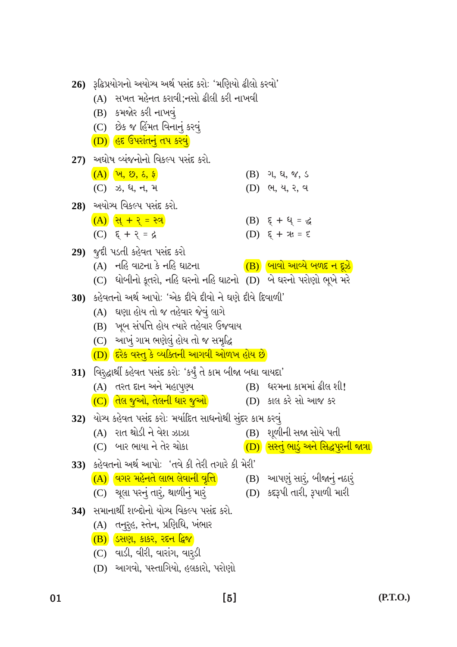| $\cdot$ |
|---------|
|         |

27) અઘોષ વ્યંજનોનો વિકલ્પ પસંદ કરો.  $(A)$   $(\nu, \, \vartheta, \, \delta, \, \xi)$  $(B)$  ગ, ધ, જ, ડ (C) ઝ, ધ, ન, મ (D) ભ, ય, ર, વ 28) અયોગ્ય વિકલ્પ પસંદ કરો.  $(A)$  સિ + ર = સ્ત્ર (B)  $\xi + \xi = \xi$  $(D)$   $\xi + x = \xi$ (C)  $\xi + \xi = \zeta$ 29) જૂદી પડતી કહેવત પસંદ કરો (A) નહિ વાટના કે નહિ ઘાટના  $\overline{(\textbf{B})}$  બાવો આવ્યે બળદ ન દૂઝે (C) ધોબીનો કૂતરો, નહિ ઘરનો નહિ ઘાટનો (D) બે ઘરનો પરોણો ભૂખે મરે 30) કહેવતનો અર્થ આપો: 'એક દીવે દીવો ને ઘણે દીવે દિવાળી' (A) ઘણા હોય તો જ તહેવાર જેવું લાગે (B) ખૂબ સંપત્તિ હોય ત્યારે તહેવાર ઉજવાય (C) આખું ગામ ભણેલું હોય તો જ સમૃદ્ધિ (D) દિરેક વસ્તુ કે વ્યક્તિની આગવી ઓળખ હોય છે 31) વિરસ્દ્ધાર્થી કહેવત પસંદ કરો: 'કર્યું તે કામ બીજા બધા વાયદા' (A) તરત દાન અને મહાપૂણ્ય (B) ધરમના કામમાં ઢીલ શી! (C) તિલ જુઓ, તેલની ધાર જુઓ (D) કાલ કરે સો આજ કર 32) યોગ્ય કહેવત પસંદ કરો: મર્યાદિત સાધનોથી સુંદર કામ કરવું (B) શૂળીની સજા સોયે પતી (A) રાત થોડી ને વેશ ઝાઝા  $(C)$  બાર ભાયા ને તેર ચોકા <u>(D) સિસ્તું ભાડું અને સિદ્ધપુરની જાત્રા</u> 33) કહેવતનો અર્થ આપો: 'તવે કી તેરી તગારે કી મેરી' (B) આપણું સારં, બીજાનું નઠારૂં  $\overline{(A)}$  વિગર મહેનતે લાભ લેવાની વૃત્તિ $\overline{A}$ (D) કદરૂપી તારી, રૂપાળી મારી (C) ચૂલા પરનું તારૂં, થાળીનું માર<del>ૂં</del> 34) સમાનાર્થી શબ્દોનો યોગ્ય વિકલ્પ પસંદ કરો. (A) તનુરૃહ, સ્તેન, પ્રણિધિ, ખંભાર (B) ડિસણ, કાકર, રદન દ્વિજ

26) રૂઢિપ્રયોગનો અયોગ્ય અર્થ પસંદ કરો: 'મણિયો ઢીલો કરવો' (A) સખત મહેનત કરાવી;નસો ઢીલી કરી નાખવી

 $(B)$  કમજોર કરી નાખવું

(C) છેક જ હિંમત વિનાનું કરવું

 $(C)$  વાડી, વીરી, વારાંગ, વારડી

(D) આગવો, પસ્તાગિયો, હલકારો, પરોણો

<u>(D) હિંદ ઉપરાંતનું તપ કરવું </u>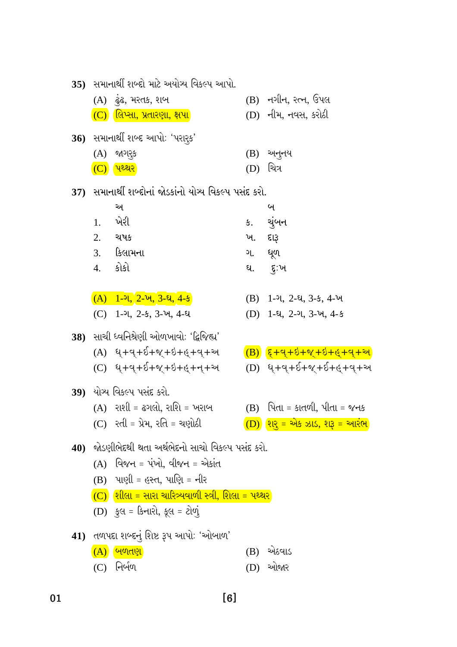| (B) નગીન, રત્ન, ઉપલ<br>(A) <i>હું</i> ઢ, મરતક, શબ<br>(D) નીમ, નવસ, કરોઠી<br>$(C)$ લિપ્સા, પ્રતારણા, ક્ષપા $\overline{\phantom{a}}$<br>36) સમાનાર્થી શબ્દ આપોઃ 'પરારૂક'<br>$(A)$ જાગરૂક<br>$(B)$ અનુનય |                            |
|-------------------------------------------------------------------------------------------------------------------------------------------------------------------------------------------------------|----------------------------|
|                                                                                                                                                                                                       |                            |
|                                                                                                                                                                                                       |                            |
|                                                                                                                                                                                                       |                            |
|                                                                                                                                                                                                       |                            |
| (D) ચિત્ર<br>(C) <b>पथ्थ</b> र                                                                                                                                                                        |                            |
| 37) સમાનાર્થી શબ્દોનાં જોડકાંનો યોગ્ય વિકલ્પ પસંદ કરો.                                                                                                                                                |                            |
| અ<br>બ                                                                                                                                                                                                |                            |
| ખેરી<br>ચુંબન<br>1.<br>ક.                                                                                                                                                                             |                            |
| 2. ચ <b>ષક</b><br>ખ. દારૂ                                                                                                                                                                             |                            |
| 3. કિલામના<br>ગ. ધૂળ                                                                                                                                                                                  |                            |
| 4. કોકો<br>ઘ. દુ:ખ                                                                                                                                                                                    |                            |
|                                                                                                                                                                                                       |                            |
| $(A)$ 1-ગ, 2-ખ, 3-ઘ, 4-ક<br>$(B)$ 1-ગ, 2-ઘ, 3-ક, 4-ખ                                                                                                                                                  |                            |
| (C) 1-ગ, 2-ક, 3-ખ, 4-ઘ<br>$(D)$ 1-2, 2-2, 3- $\nu$ , 4-5                                                                                                                                              |                            |
| 38)   સાચી ધ્વનિશ્રેણી ઓળખાવોઃ 'દ્વિજિહ્ય'                                                                                                                                                            |                            |
| $(A)$ $4+q+8+q+8+q+q+9$<br>$( B ) ( \xi + q + \delta + \gamma + \delta + \epsilon + q + \nu )$                                                                                                        |                            |
| (C) ધ્+વ્+ઈ+જ્+ઇ+હ્+ન્+અ                                                                                                                                                                              | $(D)$ ધ્+વ્+ઈ+જ્+ઈ+હ્+વ્+અ |
|                                                                                                                                                                                                       |                            |
| 39) યોગ્ય વિકલ્પ પસંદ કરો.                                                                                                                                                                            |                            |
| (A) રાશી = ઢગલો, રાશિ = ખરાબ<br>$(B)$ પિતા = કાતળી, પીતા = જનક                                                                                                                                        |                            |
| (D) શરુ = એક ઝાડ, શરૂ = આરંભ<br>(C) રતી = પ્રેમ, રતિ = ચણોઠી                                                                                                                                          |                            |
|                                                                                                                                                                                                       |                            |
| 40) જોડણીભેદથી થતા અર્થભેદનો સાચો વિકલ્પ પસંદ કરો.                                                                                                                                                    |                            |
| $(A)$ વિજન = પંખો, વીજન = એકાંત                                                                                                                                                                       |                            |
| $(B)$ પાણી = હસ્ત, પાણિ = નીર                                                                                                                                                                         |                            |
| $(C)$ શીલા = સારા ચારિત્ર્યવાળી સ્ત્રી, શિલા = પથ્થર<br>(D) કુલ = કિનારો, કૂલ = ટોળું                                                                                                                 |                            |
|                                                                                                                                                                                                       |                            |
| 41) તળપદા શબ્દનું શિષ્ટ રૂપ આપોઃ 'ઓબાળ'<br>(A) બિળતણ<br>એઠવાડ<br>(B)                                                                                                                                  |                            |

 $\overline{01}$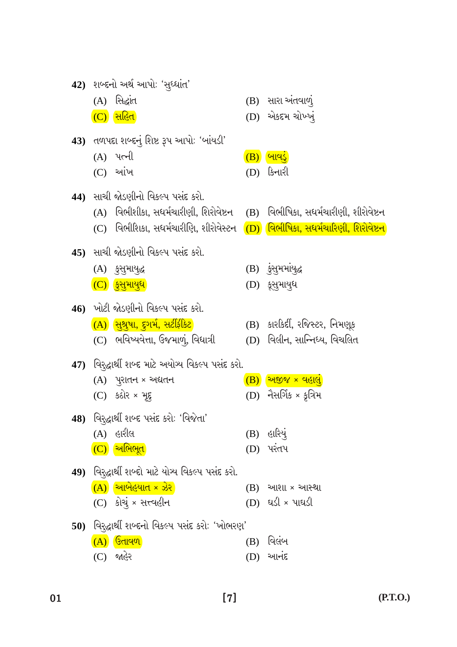|     | (A) સિદ્ધાંત                                                                                             |     | (B) સારા અંતવાળું              |
|-----|----------------------------------------------------------------------------------------------------------|-----|--------------------------------|
|     | $(C)$ સહિત                                                                                               |     | (D) એકદમ ચોખ્ખ્                |
|     | 43) તળપદા શબ્દનું શિષ્ટ રૂપ આપોઃ 'બાંયડી'                                                                |     |                                |
|     | (A) પત્ની                                                                                                |     | $(B)$ બાવડું                   |
|     | $(C)$ આંખ                                                                                                |     | (D) કિનારી                     |
|     | 44) સાચી જોડણીનો વિકલ્પ પસંદ કરો.                                                                        |     |                                |
|     | (A) વિભીશીકા, સધર્મચારીણી, શિરોવેષ્ટન    (B)   વિભીષિકા, સધર્મચારીણી, શીરોવેષ્ટન                         |     |                                |
|     | (C)    વિભીશિકા, સધર્મચારીણિ, શીરોવેસ્ટન <mark>(D)</mark> <mark>વિભીષિકા, સધર્મચારિણી, શિરોવેષ્ટન</mark> |     |                                |
|     |                                                                                                          |     |                                |
|     | 45)  સાચી જોડણીનો વિકલ્પ પસંદ કરો.                                                                       |     |                                |
|     | (A) કુસુમાયુદ્ધ                                                                                          |     | (B) કુંસુમમાંયુદ્ધ             |
|     | $(C)$ हुसुभायुध                                                                                          |     | (D) કૂસુમાયુધ                  |
|     | 46) ખોટી જોડણીનો વિકલ્પ પસંદ કરો.                                                                        |     |                                |
|     | <u>(A) સુશ્રુષા, દુગર્મ, સર્ટીફીકેટ</u>                                                                  |     | (B) કારકિર્દી, રજિસ્ટર, નિમણૂક |
|     | (C)   ભવિષ્યવેત્તા, ઉજમાળું, વિધાત્રી                                                                    |     | (D) વિલીન, સાન્નિધ્ય, વિચલિત   |
|     | 47)   વિરજ્હાર્થી શબ્દ માટે અયોગ્ય વિકલ્પ પસંદ કરો.                                                      |     |                                |
|     | $(A)$ પુરાતન × અદ્યતન                                                                                    |     | $(B)$ અજીજ × વહાલું            |
|     | $(C)$ કઠોર × મૂદ્દ                                                                                       |     | $(D)$ નૈસર્ગિક × કૃત્રિમ       |
|     | 48) વિરજ્હાર્થી શબ્દ પસંદ કરોઃ 'વિજેતા'                                                                  |     |                                |
|     | (A) હારીલ                                                                                                |     | (B) હારિયું                    |
|     | $(C)$ અભિભૂત                                                                                             |     | (D) પરતપ                       |
|     |                                                                                                          |     |                                |
|     | 49) વિરદ્ધાર્થી શબ્દો માટે યોગ્ય વિકલ્પ પસંદ કરો.                                                        |     |                                |
|     | $\boxed{\text{(A)}}$ આબેહયાત × ઝેર $\boxed{\text{(A)}}$                                                  |     | $(B)$ આશા × આસ્થા              |
|     | (C) કોચું × સત્ત્વહીન                                                                                    |     | (D) ઘડી × પાઘડી                |
| 50) | વિરદ્ધાર્થી શબ્દનો વિકલ્પ પસંદ કરો: 'ખોભરણ'                                                              |     |                                |
|     | (A) <b>उिताव</b> ण                                                                                       | (B) | વિલંબ                          |

42) શબ્દનો અર્થ આપો: 'સુધ્ધાંત'

 $(C)$  ਅહેર (D) આનંદ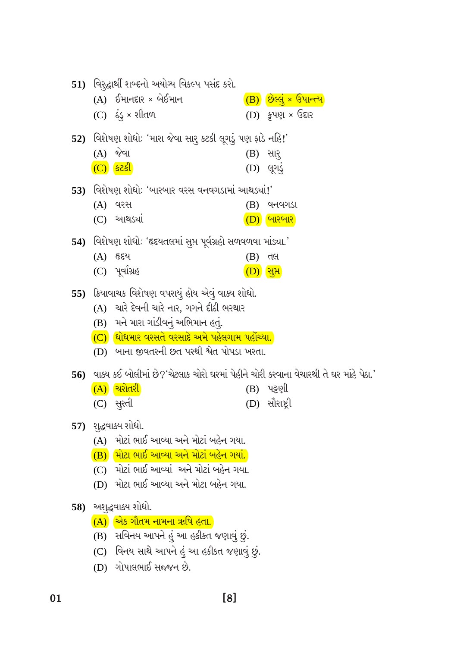|                                     | 51) વિરદ્ધાર્થી શબ્દનો અયોગ્ય વિકલ્પ પસંદ કરો.                                                  |     |                                     |  |
|-------------------------------------|-------------------------------------------------------------------------------------------------|-----|-------------------------------------|--|
|                                     | $(A)$ ઈમાનદાર × બેઈમાન                                                                          |     | $\overline{(B)}$ છેલ્લું × ઉપાન્ત્ય |  |
|                                     | $(C)$ ઠંડુ × શીતળ                                                                               |     | $(D)$ કૃપણ × ઉદ્દાર                 |  |
|                                     | 52) વિશેષણ શોધોઃ 'મારા જેવા સારુ કટકી લૂગડું પણ કાડે નહિં!'                                     |     |                                     |  |
|                                     | $(A)$ જેવા                                                                                      |     | $(B)$ સાર્                          |  |
|                                     |                                                                                                 |     | (D) લુગડ                            |  |
|                                     | 53) વિશેષણ શોધોઃ 'બારબાર વરસ વનવગડામાં આથડ્યાં!'                                                |     |                                     |  |
|                                     | (A) વરસ                                                                                         | (B) | વનવગડા                              |  |
|                                     | $(C)$ આથડ્યાં                                                                                   |     | $(D)$ બારબાર                        |  |
|                                     | 54) વિરોષણ શોધોઃ 'હૃદયતલમાં સુપ્ત પૂર્વગ્રહો સળવળવા માંડ્યા.'                                   |     |                                     |  |
|                                     | (A) હૃદય                                                                                        | (B) | તલ                                  |  |
|                                     | (C) પૂર્વાગ્રહ                                                                                  |     | (D) सू <i></i> र                    |  |
|                                     | 55) ક્રિયાવાચક વિશેષણ વપરાયું હોય એવું વાક્ય શોધો.                                              |     |                                     |  |
|                                     | (A) ચારે દેવની ચારે નાર, ગગને દીઠી ભરથાર                                                        |     |                                     |  |
| (B) મને મારા ગાંડીવનું અભિમાન હતું. |                                                                                                 |     |                                     |  |
|                                     |                                                                                                 |     |                                     |  |
|                                     | $(C)$ ધોધમાર વરસતે વરસાદે અમે પહેલગામ પહોંચ્યા.                                                 |     |                                     |  |
|                                     | (D) બાના જીવતરની છત પરથી શ્વેત પોપડા ખરતા.                                                      |     |                                     |  |
|                                     | $\,$ 56)   વાક્ય કઈ બોલીમાં છે?'ચેટલાક ચોરો ઘરમાં પેહીને ચોરી કરવાના વેચારથી તે ઘર માંહે પેઠા.' |     |                                     |  |
|                                     | $(A)$ ચરોતરી                                                                                    |     | (B) પટ્ટણી                          |  |
|                                     | (C) સુરતી                                                                                       |     | (D) સૌરાષ્ટ્રી                      |  |
|                                     |                                                                                                 |     |                                     |  |
|                                     | 57) શુદ્ધવાક્ય શોધો.<br>(A) મોટાં ભાઈ આવ્યા અને મોટાં બહેન ગયા.                                 |     |                                     |  |
|                                     | (B) મોટા ભાઈ આવ્યા અને મોટાં બહેન ગયાં.                                                         |     |                                     |  |
|                                     | (C) મોટાં ભાઈ આવ્યાં અને મોટાં બહેન ગયા.                                                        |     |                                     |  |
|                                     | (D) મોટા ભાઈ આવ્યા અને મોટા બહેન ગયા.                                                           |     |                                     |  |
|                                     | 58) અશુદ્ધવાક્ય શોધો.                                                                           |     |                                     |  |
|                                     | (A) એક ગૌતમ નામના ઋષિ હતા.                                                                      |     |                                     |  |
|                                     | (B) સવિનય આપને હું આ હકીકત જણાવું છું.                                                          |     |                                     |  |
|                                     | (C) વિનય સાથે આપને હું આ હકીકત જણાવું છું.                                                      |     |                                     |  |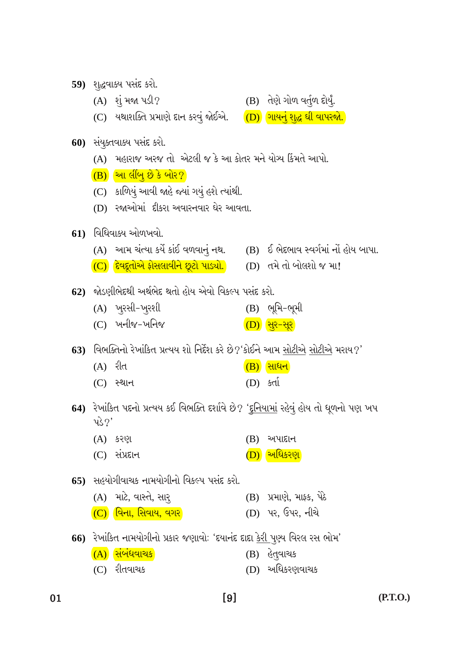$(P.T.O.)$ 

 $\lceil 9 \rceil$ 

(B) પ્રમાણે, માફ્ક, પેઠે (D) પર, ઉપર, નીચે

 $(B)$  અપાદાન

(B) હેત્**વાચક** 

(D) અધિકરણવાચક

- 66) રેખાંકિત નામયોગીનો પ્રકાર જણાવોઃ 'દયાનંદ દાદા <u>કેરી પૂ</u>ર્ણ્ય વિરલ રસ ભોમ'
- $(C)$  વિના, સિવાય, વગર $\,$
- $(C)$  સંપ્રદાન <u>(D) અધિકરણ</u> 65) સહયોગીવાચક નામયોગીનો વિકલ્પ પસંદ કરો.
- 64) રેખાંકિત પદનો પ્રત્યય કઈ વિભક્તિ દર્શાવે છે? '<u>દુનિયામાં</u> રહેવું હોય તો ધૂળનો પણ ખપ પ્ $32'$
- $(A)$  રીત (B) સાધન (D) કર્તા  $(C)$  સ્થાન
- (A) ખુરસી-ખુરશી  $(B)$  ભૂમિ-ભૂમી  $(C)$  ખનીજ-ખનિજ  $(D)$  सुर-सूर

63) વિભક્તિનો રેખાંકિત પ્રત્યય શો નિર્દેશ કરે છે?'કોઈને આમ સોટીએ સોટીએ મરાય?'

- 62) જોડણીભેદથી અર્થભેદ થતો હોય એવો વિકલ્પ પસંદ કરો.
- $61)$  વિધિવાક્ય ઓળખવો. (A) આમ ચંત્યા કર્યે કાંઈ વળવાનું નથ. (B) ઈ ભેદભાવ સ્વર્ગમાં નોં હોય બાપા. (C) <mark>દેવદૂતોએ ફોસલાવીને છૂટો પાડ્યો.</mark> (D) તમે તો બોલશો જ મા!
- 
- (D) રજાઓમાં દીકરા અવારનવાર ઘેર આવતા.
- (C) કાળિયું આવી જાહે જ્યાં ગયું હશે ત્યાંથી.

(A) કરણ

(A) માટે, વાસ્તે, સાર્

(A) સંબંધવાચક

 $(C)$  રીતવાચક

- $\overline{(B)}$  આ લીંબુ છે કે બોર?
- 
- 
- 
- 
- 
- (A) મહારાજ અરજ તો એટલી જ કે આ કોતર મને યોગ્ય કિંમતે આપો.
- 
- 
- 
- 
- 
- **60)** संयुक्ष्तवाड्य पसंद करो.
- (C) યથાશક્તિ પ્રમાણે દાન કરવું જોઈએ.
- (B) તેણે ગોળ વર્તુળ દોર્યું. (D) ગાયનું શુદ્ધ ઘી વાપરજો.
- 59) શુદ્ધવાક્ય પસંદ કરો.

 $(A)$  શું મજા પડી?

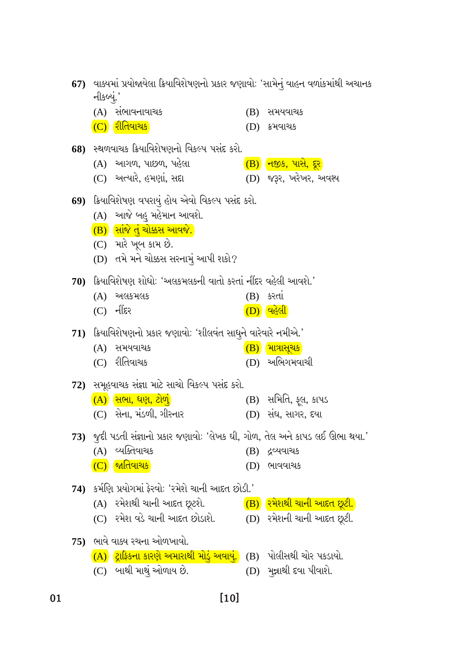| 67)  વાક્યમાં પ્રયોજાયેલા ક્રિયાવિશેષણનો પ્રકાર જણાવોઃ 'સામેનું વાહન વળાંકમાંથી અચાનક<br>નીકબ્યું.' |                                                                                 |     |                                  |  |
|-----------------------------------------------------------------------------------------------------|---------------------------------------------------------------------------------|-----|----------------------------------|--|
|                                                                                                     | (A) સભાવનાવાચક                                                                  |     | (B) સમયવાચક                      |  |
|                                                                                                     | (C) <mark>રીતિવાચક</mark>                                                       |     | (D) ક્રમવાચક                     |  |
|                                                                                                     | 68) સ્થળવાચક ક્રિયાવિશેષણનો વિકલ્પ પસંદ કરો.                                    |     |                                  |  |
|                                                                                                     | (A) આગળ, પાછળ, પહેલા                                                            |     | $\overline{(B)}$ નજીક, પાસે, દૂર |  |
|                                                                                                     | (C) અત્યારે, હમણાં, સદ્દા                                                       |     | (D) જરૂર, ખરેખર, અવશ્ય           |  |
|                                                                                                     | 69) ક્રિયાવિશેષણ વપરાયું હોય એવો વિકલ્પ પસંદ કરો.                               |     |                                  |  |
|                                                                                                     | (A) આજે બહુ મહેમાન આવશે.                                                        |     |                                  |  |
|                                                                                                     | <mark>(B) સાંજે તું ચોક્કસ આવજે.</mark>                                         |     |                                  |  |
|                                                                                                     | (C) મારે ખૂબ કામ છે.                                                            |     |                                  |  |
|                                                                                                     | (D) તમે મને ચોક્કસ સરનામું આપી શકો?                                             |     |                                  |  |
|                                                                                                     | 70) ક્રિયાવિશેષણ શોધોઃ 'અલકમલકની વાતો કરતાં નીંદર વહેલી આવશે.'                  |     |                                  |  |
|                                                                                                     | $(A)$ અલકમલક                                                                    | (B) | કરતા                             |  |
|                                                                                                     | (C) નીંદર                                                                       |     | <u>(D) વહેલી</u>                 |  |
|                                                                                                     | 71) ક્રિયાવિશેષણનો પ્રકાર જણાવોઃ 'શીલવંત સાધુને વારેવારે નમીએ.'                 |     |                                  |  |
|                                                                                                     | (A) સમયવાચક                                                                     |     | $(B)$ માત્રાસૂચક                 |  |
|                                                                                                     | (C) રીતિવાચક                                                                    |     | $(D)$ અભિગમવાચી                  |  |
|                                                                                                     | 72) સમૂહવાચક સંજ્ઞા માટે સાચો વિકલ્પ પસંદ કરો.                                  |     |                                  |  |
|                                                                                                     | $\overline{(A)}$ સિભા, ધણ, ટોળું                                                |     | (B) સમિતિ, ફૂલ, કાપડ             |  |
|                                                                                                     | (C) સેના, મંડળી, ગીરનાર                                                         |     | (D) સઘ, સાગર, દયા                |  |
|                                                                                                     | 73) જુદી પડતી સંજ્ઞાનો પ્રકાર જણાવોઃ 'લેખક ઘી, ગોળ, તેલ અને કાપડ લઈ ઊભા થયા.'   |     |                                  |  |
|                                                                                                     | (A) વ્યક્તિવાચક                                                                 |     | $(B)$ દ્રવ્યવાચક                 |  |
|                                                                                                     | $(C)$ જાતિવાચક                                                                  |     | $(D)$ ભાવવાચક                    |  |
|                                                                                                     | 74)   કર્મણિ પ્રયોગમાં ફેરવોઃ 'રમેશે ચાની આદત છોડી.'                            |     |                                  |  |
|                                                                                                     | (A)  રમેશથી ચાની આદત છૂટશે. <mark>(B)</mark> <mark>રમેશથી ચાની આદત છૂટી.</mark> |     |                                  |  |
|                                                                                                     | (C) રમેશ વડે ચાની આદત છોડાશે.          (D) રમેશની ચાની આદત છૂટી.                |     |                                  |  |
|                                                                                                     | 75) ભાવે વાક્ય રચના ઓળખાવો.                                                     |     |                                  |  |
|                                                                                                     | (A) દ્રાફિકના કારણે અમારાથી મોડું અવાયું. (B) પોલીસથી ચોર પકડાયો.               |     |                                  |  |
|                                                                                                     | (C) બાથી માથું ઓળાય છે.                                                         |     | (D) મુન્નાથી દવા પીવાશે.         |  |

 $[10]$ 

 $\overline{\mathbf{01}}$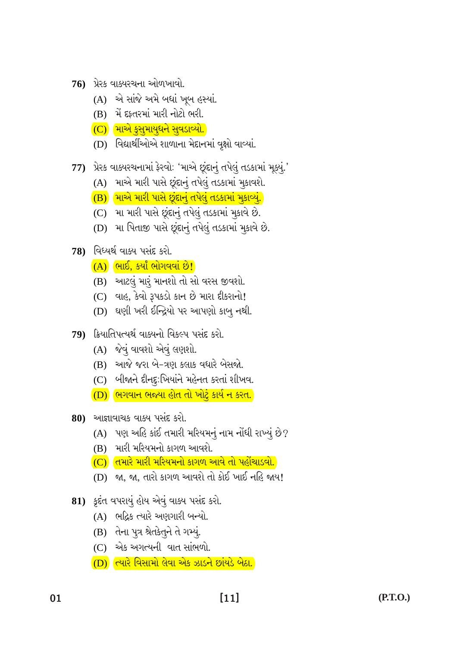- (D) ત્યારે વિસામો લેવા એક ઝાડને છાંયડે બેઠા.
- (C) એક અગત્યની વાત સાંભળો.
- (B) તેના પુત્ર શ્રેતકેતુને તે ગમ્યું.
- (A) ભદ્રિક ત્યારે અણગારી બન્યો.
- 81) કૃદંત વપરાયું હોય એવું વાક્ય પસંદ કરો.
- 
- (D) જા, જા, તારો કાગળ આવશે તો કોઈ ખાઈ નહિ જાય!
- <mark>(C) તિમારે મારી મરિયમનો કાગળ આવે તો પહોંચાડવો.</mark>
- (B) મારી મરિયમનો કાગળ આવશે.
- $(A)$  પણ અહિ કાંઈ તમારી મરિયમનું નામ નોંધી રાખ્યું છે?
- 80) આજ્ઞાવાચક વાક્ય પસંદ કરો.
- (D) ભિગવાન ભજ્યા હોત તો ખોટું કાર્ય ન કરત.
- (C) બીજાને દીનદુ:ખિયાંને મહેનત કરતાં શીખવ.
- (B) આજે જરા બે-ત્રણ કલાક વધારે બેસજો.
- (A) જેવું વાવશો એવું લણશો.
- 79) ક્રિયાતિપત્યર્થ વાક્યનો વિકલ્પ પસંદ કરો.
- (D) ઘણી ખરી ઈન્દ્રિયો પર આપણો કાબુ નથી.
- $(C)$  વાહ, કેવો રૂપકડો કાન છે મારા દીકરાનો!
- (B) આટલું મારું માનશો તો સો વરસ જીવશો.
- (A) ભાઈ, કર્યાં ભોગવવાં છે!
- 78) વિધ્યર્થ વાક્ય પસંદ કરો.
- (D) મા પિતાજી પાસે છૂંદાનું તપેલું તડકામાં મૂકાવે છે.
- (C) મા મારી પાસે છૂંદાનું તપેલું તડકામાં મૂકાવે છે.
- (B) માએ મારી પાસે છુંદાનું તપેલું તડકામાં મુકાવ્યું.
- (A) માએ મારી પાસે છુંદાનું તપેલું તડકામાં મૂકાવશે.
- 77) પ્રેરક વાક્યરચનામાં ફેરવો: 'માએ છૂંદાનું તપેલું તડકામાં મૂક્યું.'
- (D) વિદ્યાર્થીઓએ શાળાના મેદાનમાં વૃક્ષો વાવ્યાં.
- (C) માએ ક્સુમાયુધને સુવડાવ્યો.
- (B) મેં દફ્તરમાં મારી નોટો ભરી.
- (A) એ સાંજે અમે બધાં ખૂબ હસ્યાં.
- $76$ ) પ્રેરક વાક્યરચના ઓળખાવો.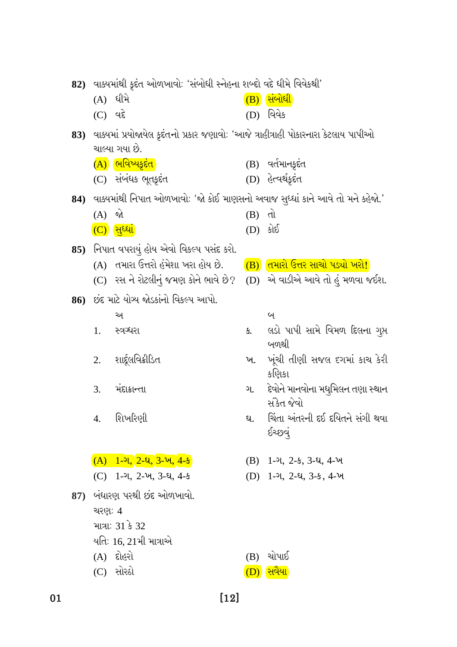|     | 82) વાક્યમાંથી કૃદંત ઓળખાવોઃ 'સંબોધી સ્નેહના શબ્દો વદે ધીમે વિવેકથી' |                                                                                         |          |                                                |  |
|-----|----------------------------------------------------------------------|-----------------------------------------------------------------------------------------|----------|------------------------------------------------|--|
|     |                                                                      | (A) ધીમે                                                                                |          | $(B)$ સંબોધી                                   |  |
|     | (C) વદે                                                              |                                                                                         |          | (D) વિવેક                                      |  |
|     |                                                                      | 83)  વાક્યમાં પ્રયોજાયેલ કૃદંતનો પ્રકાર જણાવોઃ 'આજે ત્રાહીત્રાહી પોકારનારા કેટલાય પાપીઓ |          |                                                |  |
|     |                                                                      | ચાલ્યા ગયા છે.                                                                          |          |                                                |  |
|     |                                                                      | (A) ભિવિષ્યકૃદંત <sup>ે</sup>                                                           |          | (B) વર્તમાનકૃદંત                               |  |
|     |                                                                      | (C) સંબંધક ભૂતક્રદંત                                                                    |          | (D) હેત્વર્થકૂદંત                              |  |
|     |                                                                      | 84)   વાક્યમાંથી નિપાત ઓળખાવોઃ 'જો કોઈ માણસનો અવાજ સુધ્ધાં કાને આવે તો મને કહેજો.'      |          |                                                |  |
|     | $(A)$ જો                                                             |                                                                                         | $(B)$ dl |                                                |  |
|     |                                                                      | <u>(C) સુધ્ધાં</u>                                                                      | (D) કોઈ  |                                                |  |
|     |                                                                      | 85) નિપાત વપરાયું હોય એવો વિકલ્પ પસંદ કરો.                                              |          |                                                |  |
|     |                                                                      | (A) તમારા ઉત્તરો હંમેશા ખરા હોય છે.                                                     |          | (B) તિમારો ઉત્તર સાચો પડ્યો ખરો!               |  |
|     |                                                                      | (C) રસ ને રોટલીનું જમણ કોને ભાવે છે? (D) એ વાડીએ આવે તો હું મળવા જઈશ.                   |          |                                                |  |
|     |                                                                      | 86) છંદ માટે યોગ્ય જોડકાંનો વિકલ્પ આપો.                                                 |          |                                                |  |
|     |                                                                      | અ                                                                                       |          | બ                                              |  |
|     | 1.                                                                   | સ્ત્રગ્ધરા                                                                              | ક.       | લડો પાપી સામે વિમળ દિલના ગુપ્ત<br>બળથી         |  |
|     | 2.                                                                   | શાર્દૂલવિક્રીડિત                                                                        |          | ખ. ખૂંચી તીણી સજલ દગમાં કાચ કેરી<br>કણિકા      |  |
|     | 3.                                                                   | મંદાક્રાન્તા                                                                            | ગ.       | દેવોને માનવોના મધુમિલન તણા સ્થાન<br>સંકેત જેવો |  |
|     |                                                                      | 4. શિખરિણી                                                                              | ઘ.       | ચિંતા અંતરની દઈ દયિતને સંગી થવા<br>ઈચ્છવું     |  |
|     |                                                                      | $(A)$ 1-ગ, 2-ઘ, 3-ખ, 4-ક                                                                |          | $(B)$ 1-2, 2-5, 3-8, 4- $\nu$                  |  |
|     |                                                                      | (C) 1-ગ, 2-ખ, 3-ઘ, 4-ક                                                                  |          | $(D)$ 1-2, 2-2, 3-5, 4- $\nu$                  |  |
| 87) |                                                                      | બંધારણ પરથી છંદ ઓળખાવો.                                                                 |          |                                                |  |
|     | ચરણ: 4                                                               |                                                                                         |          |                                                |  |
|     |                                                                      | માત્રા: 31 કે 32                                                                        |          |                                                |  |
|     |                                                                      | યતિઃ 16, 21મી માત્રાએ                                                                   |          |                                                |  |
|     |                                                                      | (A) દોહરો                                                                               | (B)      | ચોપાઈ                                          |  |
|     |                                                                      | (C) સોરઠો                                                                               |          | <u>સવૈયા</u>                                   |  |

 $[12]$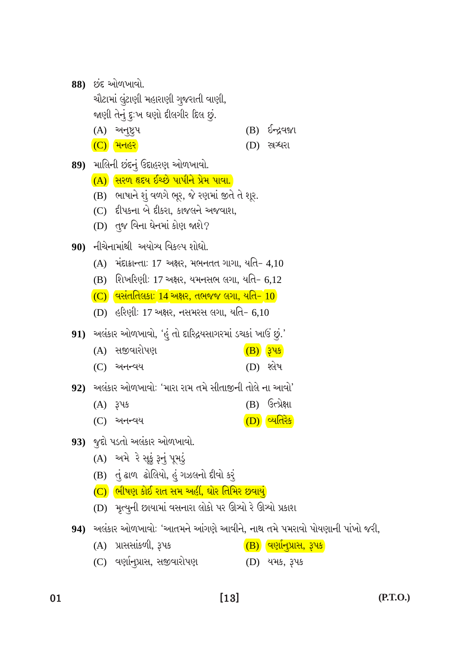| 88) | છંદ ઓળખાવો. |  |
|-----|-------------|--|
|     |             |  |
|     |             |  |
|     |             |  |

ચૌટામાં લુંટાણી મહારાણી ગુજરાતી વાણી, જાણી તેનું દુ:ખ ઘણો દીલગીર દિલ છું.

- $(A)$  અનૂષ્ટ્રપ  $(B)$   $5 - 29$
- (D) स्रथ**रा**  $(C)$  મનહર
- 89) માલિની છંદનું ઉદાહરણ ઓળખાવો.
	- (A) સિરળ હૃદય ઈચ્છે પાપીને પ્રેમ પાવા.
	- (B) ભાષાને શું વળગે ભૂર, જે રણમાં જીતે તે શૂર.
	- (C) દીપકના બે દીકરા, કાજલને અજવાશ,
	- (D) તુજ વિના ઘેનમાં કોણ જાશે?
- 90) નીચેનામાંથી અયોગ્ય વિકલ્પ શોધો.
	- $(A)$  મંદાક્રાન્તા: 17 અક્ષર, મભનતત ગાગા, યતિ– 4,10
	- (B) શિખરિણી: 17 અક્ષર, યમનસભ લગા, યતિ– 6,12
	- $(C)$  વસંતતિલકા: 14 અક્ષર, તભજજ લગા, યતિ- 10
	- (D) હરિણી: 17 અક્ષર, નસમરસ લગા, યતિ– 6,10

91) અલંકાર ઓળખાવો, 'હું તો દારિદ્રયસાગરમાં ડચકાં ખાઉં છું.'

- (A) સજીવારોપણ (B) ३५४
- $(D)$  શ્લેષ  $(C)$  અનન્વય

92) અલંકાર ઓળખાવો: 'મારા રામ તમે સીતાજીની તોલે ના આવો'

- $(B)$  ઉત્પ્રેક્ષા  $(A)$   $345$
- (D) व्यतिरेड  $(C)$  અનન્વય
- 93) જુદો પડતો અલંકાર ઓળખાવો.
	- (A) અમે રે સૂકું રૂનું પૂમડું
	- (B) તું ઢાળ ઢોલિયો, હું ગઝલનો દીવો કર્
	- (C) ભીષણ કોઈ રાત સમ અહીં, ઘોર તિમિર છવાયું
	- (D) મૃત્યુની છાયામાં વસનારા લોકો પર ઊત્ર્યો રે ઊત્ર્યો પ્રકાશ
- 94) અલંકાર ઓળખાવો: 'આતમને આંગણે આવીને, નાથ તમે પમરાવો પોયણાની પાંખો જરી,
	- (A) પ્રાસસાંકળી, રૂપક  $\overline{(\textbf{B})}$  વણાનુપ્રાસ, રૂપક $\overline{\phantom{a}}$
	- (C) વર્ણાન્પ્રાસ, સજીવારોપણ (D) યમક, રૂપક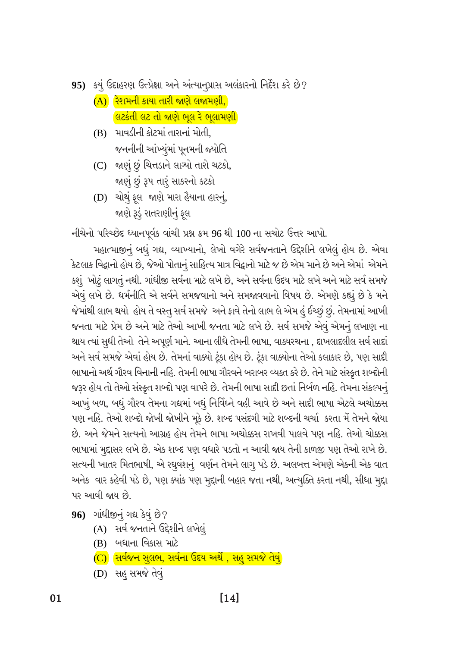95) કયું ઉદાહરણ ઉત્પ્રેક્ષા અને અંત્યાનુપ્રાસ અલંકારનો નિર્દેશ કરે છે?

- (A) રેશમની કાયા તારી જાણે લજામણી, <u>લિટકંતી લટ તો જાણે ભૂલ રે ભૂલામણી</u>
- (B) માવડીની કોટમાં તારાનાં મોતી. જનનીની આંખ્યુંમાં પૂનમની જ્યોતિ
- (C) જાણું છું ચિત્તડાને લાગ્યો તારો ચટકો, જાણું છું રૂપ તારૂં સાકરનો કટકો
- (D) ચોથું ફલ જાણે મારા હૈયાના હારનું, જાણે રૂડું રાતરાણીનું ફૂલ

નીચેનો પરિચ્છેદ ધ્યાનપૂર્વક વાંચી પ્રશ્ન ક્રમ 96 થી 100 ના સચોટ ઉત્તર આપો.

મહાત્માજીનું બધું ગદ્ય, વ્યાખ્યાનો, લેખો વગેરે સર્વજનતાને ઉદ્દેશીને લખેલું હોય છે. એવા કેટલાક વિદ્વાનો હોય છે, જેઓ પોતાનું સાહિત્ય માત્ર વિદ્વાનો માટે જ છે એમ માને છે અને એમાં એમને કશું ખોટું લાગતું નથી. ગાંધીજી સર્વના માટે લખે છે, અને સર્વના ઉદય માટે લખે અને માટે સર્વ સમજે એવું લખે છે. ધર્મનીતિ એ સર્વને સમજવાનો અને સમજાવવાનો વિષય છે. એમણે કહ્યું છે કે મને જેમાંથી લાભ થયો હોય તે વસ્તુ સર્વ સમજે અને ફાવે તેનો લાભ લે એમ હું ઈચ્છું છું. તેમનામાં આખી જનતા માટે પ્રેમ છે અને માટે તેઓ આખી જનતા માટે લખે છે. સર્વ સમજે એવું એમનું લખાણ ના થાય ત્યાં સુધી તેઓ તેને અપૂર્ણ માને. આના લીધે તેમની ભાષા, વાક્યરચના , દાખલાદલીલ સર્વ સાદાં અને સર્વ સમજે એવાં હોય છે. તેમનાં વાક્યો ટૂંકા હોય છે. ટૂંકા વાક્યોના તેઓ કલાકાર છે, પણ સાદી ભાષાનો અર્થ ગૌરવ વિનાની નહિ. તેમની ભાષા ગૌરવને બરાબર વ્યક્ત કરે છે. તેને માટે સંસ્કૃત શબ્દોની જરૂર હોય તો તેઓ સંસ્કૃત શબ્દો પણ વાપરે છે. તેમની ભાષા સાદી છતાં નિર્બળ નહિ. તેમના સંકલ્પનું આખું બળ, બધું ગૌરવ તેમના ગદ્યમાં બધું નિર્વિઘ્ને વહી આવે છે અને સાદી ભાષા એટલે અચોક્કસ પણ નહિ. તેઓ શબ્દો જોખી જોખીને મૂકે છે. શબ્દ પસંદગી માટે શબ્દની ચર્ચા કરતા મેં તેમને જોયા છે. અને જેમને સત્યનો આગ્રહ હોય તેમને ભાષા અચોક્કસ રાખવી પાલવે પણ નહિ. તેઓ ચોક્કસ ભાષામાં મુદ્દાસર લખે છે. એક શબ્દ પણ વધારે પડતો ન આવી જાય તેની કાળજી પણ તેઓ રાખે છે. સત્યની ખાતર મિતભાષી, એ રઘુવંશનું વર્ણન તેમને લાગુ પડે છે. અલબત્ત એમણે એકની એક વાત અનેક વાર કહેવી પડે છે, પણ ક્યાંક પણ મુદ્દાની બહાર જતા નથી, અત્યુક્તિ કરતા નથી, સીધા મુદ્દા પર આવી જાય છે.

- 96) ગાંધીજીનું ગદ્ય કેવું છે?
	- (A) સર્વ જનતાને ઉદ્દેશીને લખેલું
	- (B) બધાના વિકાસ માટે
	- (C) સિર્વજન સુલભ, સર્વના ઉદય અર્થે , સહુ સમજે તેવું
	- (D) સહ સમજે તેવું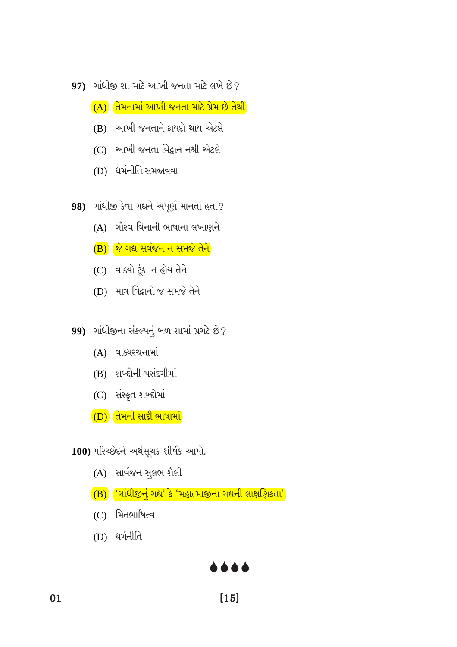- 97) ગાંધીજી શા માટે આખી જનતા માટે લખે છે?
	- (A) તેમનામાં આખી જનતા માટે પ્રેમ છે તેથી
	- (B) આખી જનતાને ફાયદો થાય એટલે
	- (C) આખી જનતા વિદ્વાન નથી એટલે
	- (D) ધર્મનીતિ સમજાવવા

98) ગાંધીજી કેવા ગદ્યને અપૂર્ણ માનતા હતા?

- (A) ગૌરવ વિનાની ભાષાના લખાણને
- B) જે ગદ્ય સર્વજન ન સમજે તેને
- (C) વાક્યો ટૂંકા ન હોય તેને
- (D) માત્ર વિદ્વાનો જ સમજે તેને
- 99) ગાંધીજીના સંકલ્પનું બળ શામાં પ્રગટે છે?
	- $(A)$  વાક્યરચનામાં
	- (B) શબ્દોની પસંદગીમાં
	- (C) સંસ્કૃત શબ્દોમાં
	- (D) તેમની સાદી ભાષામાં

100) પરિચ્છેદને અર્થસૂચક શીર્ષક આપો.

- (A) સાર્વજન સુલભ શૈલી
- (B) 'ગાંધીજીનું ગદ્ય' કે 'મહાત્માજીના ગદ્યની લાક્ષણિકતા'
- (C) મિતભાષિત્વ
- (D) ધર્મનીતિ